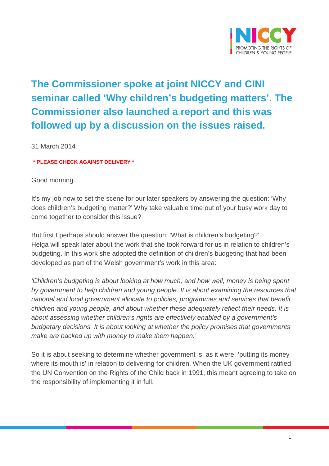

## **The Commissioner spoke at joint NICCY and CINI seminar called 'Why children's budgeting matters'. The Commissioner also launched a report and this was followed up by a discussion on the issues raised.**

31 March 2014

**\* PLEASE CHECK AGAINST DELIVERY \***

## Good morning.

It's my job now to set the scene for our later speakers by answering the question: 'Why does children's budgeting matter?' Why take valuable time out of your busy work day to come together to consider this issue?

But first I perhaps should answer the question: 'What is children's budgeting?' Helga will speak later about the work that she took forward for us in relation to children's budgeting. In this work she adopted the definition of children's budgeting that had been developed as part of the Welsh government's work in this area:

*'Children's budgeting is about looking at how much, and how well, money is being spent by government to help children and young people. It is about examining the resources that national and local government allocate to policies, programmes and services that benefit children and young people, and about whether these adequately reflect their needs. It is about assessing whether children's rights are effectively enabled by a government's budgetary decisions. It is about looking at whether the policy promises that governments make are backed up with money to make them happen.'*

So it is about seeking to determine whether government is, as it were, 'putting its money where its mouth is' in relation to delivering for children. When the UK government ratified the UN Convention on the Rights of the Child back in 1991, this meant agreeing to take on the responsibility of implementing it in full.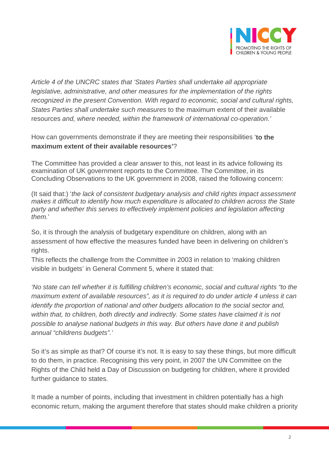

*Article 4 of the UNCRC states that 'States Parties shall undertake all appropriate legislative, administrative, and other measures for the implementation of the rights recognized in the present Convention. With regard to economic, social and cultural rights, States Parties shall undertake such measures* to the maximum extent of their available resources *and, where needed, within the framework of international co-operation.'*

How can governments demonstrate if they are meeting their responsibilities ' **to the maximum extent of their available resources'**?

The Committee has provided a clear answer to this, not least in its advice following its examination of UK government reports to the Committee. The Committee, in its Concluding Observations to the UK government in 2008, raised the following concern:

(It said that:) '*the lack of consistent budgetary analysis and child rights impact assessment makes it difficult to identify how much expenditure is allocated to children across the State party and whether this serves to effectively implement policies and legislation affecting them.*'

So, it is through the analysis of budgetary expenditure on children, along with an assessment of how effective the measures funded have been in delivering on children's rights.

This reflects the challenge from the Committee in 2003 in relation to 'making children visible in budgets' in General Comment 5, where it stated that:

*'No state can tell whether it is fulfilling children's economic, social and cultural rights "to the maximum extent of available resources", as it is required to do under article 4 unless it can identify the proportion of national and other budgets allocation to the social sector and, within that, to children, both directly and indirectly. Some states have claimed it is not possible to analyse national budgets in this way. But others have done it and publish annual "childrens budgets".'*

So it's as simple as that? Of course it's not. It is easy to say these things, but more difficult to do them, in practice. Recognising this very point, in 2007 the UN Committee on the Rights of the Child held a Day of Discussion on budgeting for children, where it provided further quidance to states.

It made a number of points, including that investment in children potentially has a high economic return, making the argument therefore that states should make children a priority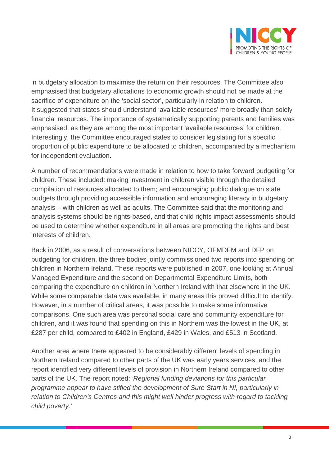

in budgetary allocation to maximise the return on their resources. The Committee also emphasised that budgetary allocations to economic growth should not be made at the sacrifice of expenditure on the 'social sector', particularly in relation to children. It suggested that states should understand 'available resources' more broadly than solely financial resources. The importance of systematically supporting parents and families was emphasised, as they are among the most important 'available resources' for children. Interestingly, the Committee encouraged states to consider legislating for a specific proportion of public expenditure to be allocated to children, accompanied by a mechanism for independent evaluation.

A number of recommendations were made in relation to how to take forward budgeting for children. These included: making investment in children visible through the detailed compilation of resources allocated to them; and encouraging public dialogue on state budgets through providing accessible information and encouraging literacy in budgetary analysis – with children as well as adults. The Committee said that the monitoring and analysis systems should be rights-based, and that child rights impact assessments should be used to determine whether expenditure in all areas are promoting the rights and best interests of children.

Back in 2006, as a result of conversations between NICCY, OFMDFM and DFP on budgeting for children, the three bodies jointly commissioned two reports into spending on children in Northern Ireland. These reports were published in 2007, one looking at Annual Managed Expenditure and the second on Departmental Expenditure Limits, both comparing the expenditure on children in Northern Ireland with that elsewhere in the UK. While some comparable data was available, in many areas this proved difficult to identify. However, in a number of critical areas, it was possible to make some informative comparisons. One such area was personal social care and community expenditure for children, and it was found that spending on this in Northern was the lowest in the UK, at £287 per child, compared to £402 in England, £429 in Wales, and £513 in Scotland.

Another area where there appeared to be considerably different levels of spending in Northern Ireland compared to other parts of the UK was early years services, and the report identified very different levels of provision in Northern Ireland compared to other parts of the UK. The report noted: *'Regional funding deviations for this particular programme appear to have stifled the development of Sure Start in NI, particularly in relation to Children's Centres and this might well hinder progress with regard to tackling child poverty.'*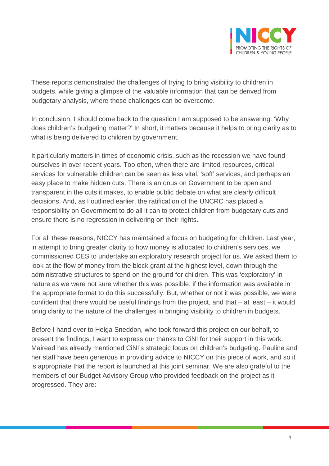

These reports demonstrated the challenges of trying to bring visibility to children in budgets, while giving a glimpse of the valuable information that can be derived from budgetary analysis, where those challenges can be overcome.

In conclusion, I should come back to the question I am supposed to be answering: 'Why does children's budgeting matter?' In short, it matters because it helps to bring clarity as to what is being delivered to children by government.

It particularly matters in times of economic crisis, such as the recession we have found ourselves in over recent years. Too often, when there are limited resources, critical services for vulnerable children can be seen as less vital, 'soft' services, and perhaps an easy place to make hidden cuts. There is an onus on Government to be open and transparent in the cuts it makes, to enable public debate on what are clearly difficult decisions. And, as I outlined earlier, the ratification of the UNCRC has placed a responsibility on Government to do all it can to protect children from budgetary cuts and ensure there is no regression in delivering on their rights.

For all these reasons, NICCY has maintained a focus on budgeting for children. Last year, in attempt to bring greater clarity to how money is allocated to children's services, we commissioned CES to undertake an exploratory research project for us. We asked them to look at the flow of money from the block grant at the highest level, down through the administrative structures to spend on the ground for children. This was 'exploratory' in nature as we were not sure whether this was possible, if the information was available in the appropriate format to do this successfully. But, whether or not it was possible, we were confident that there would be useful findings from the project, and that – at least – it would bring clarity to the nature of the challenges in bringing visibility to children in budgets.

Before I hand over to Helga Sneddon, who took forward this project on our behalf, to present the findings, I want to express our thanks to CiNI for their support in this work. Mairead has already mentioned CiNI's strategic focus on children's budgeting. Pauline and her staff have been generous in providing advice to NICCY on this piece of work, and so it is appropriate that the report is launched at this joint seminar. We are also grateful to the members of our Budget Advisory Group who provided feedback on the project as it progressed. They are: